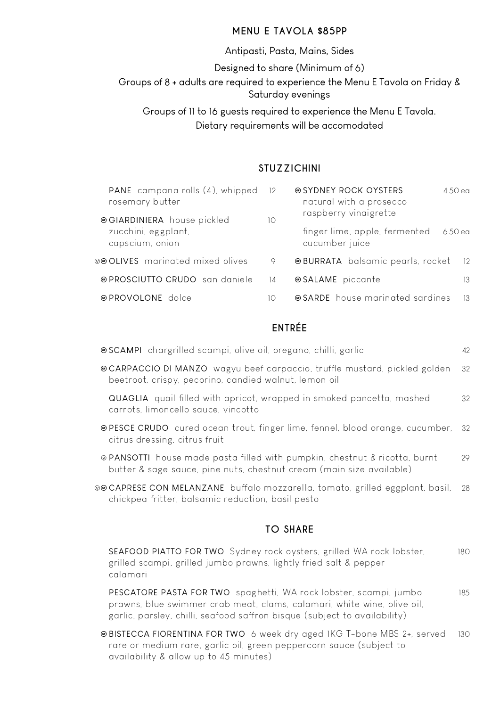#### **MENU E TAVOLA \$85PP**

#### Antipasti, Pasta, Mains, Sides

Designed to share (Minimum of 6)

Groups of 8 + adults are required to experience the Menu E Tavola on Friday & Saturday evenings

Groups of 11 to 16 guests required to experience the Menu E Tavola. Dietary requirements will be accomodated

#### **STUZZICHINI**

| PANE campana rolls (4), whipped<br>rosemary butter | 12              | natural with a prosecco                                                  | 4.50 ea |
|----------------------------------------------------|-----------------|--------------------------------------------------------------------------|---------|
| zucchini, eggplant,<br>capscium, onion             | 10 <sup>°</sup> | raspberry vinaigrette<br>finger lime, apple, fermented<br>cucumber juice | 6.50 ea |
| ⊗⊕ OLIVES marinated mixed olives                   | 9               | @ BURRATA balsamic pearls, rocket                                        | - 12    |
| @ PROSCIUTTO CRUDO san daniele                     | 4               | ⊕ SALAME piccante                                                        | 13      |
| ⊕PROVOLONE dolce                                   | 10              | @SARDE house marinated sardines                                          | - 13    |

## **ENTRÉE**

| · SCAMPI chargrilled scampi, olive oil, oregano, chilli, garlic                                                                                    | 42  |
|----------------------------------------------------------------------------------------------------------------------------------------------------|-----|
| © CARPACCIO DI MANZO wagyu beef carpaccio, truffle mustard, pickled golden<br>beetroot, crispy, pecorino, candied walnut, lemon oil                | 32  |
| QUAGLIA quail filled with apricot, wrapped in smoked pancetta, mashed<br>carrots, limoncello sauce, vincotto                                       | 32  |
| ⊕ PESCE CRUDO cured ocean trout, finger lime, fennel, blood orange, cucumber,<br>citrus dressing, citrus fruit                                     | -32 |
| ⊗ PANSOTTI house made pasta filled with pumpkin, chestnut & ricotta, burnt<br>butter & sage sauce, pine nuts, chestnut cream (main size available) | 29  |
| ⊗@CAPRESE CON MELANZANE buffalo mozzarella, tomato, grilled eggplant, basil,<br>chickpea fritter, balsamic reduction, basil pesto                  | 28  |
| <b>TO SHARE</b>                                                                                                                                    |     |
| SEAFOOD PIATTO FOR TWO Sydney rock oysters, grilled WA rock lobster,<br>grilled scampi, grilled jumbo prawns, lightly fried salt & pepper          | 180 |

calamari PESCATORE PASTA FOR TWO spaghetti, WA rock lobster, scampi, jumbo 185 prawns, blue swimmer crab meat, clams, calamari, white wine, olive oil, garlic, parsley, chilli, seafood saffron bisque (subject to availability)

Ô BISTECCA FIORENTINA FOR TWO 6 week dry aged 1KG T-bone MBS 2+, served 130 rare or medium rare, garlic oil, green peppercorn sauce (subject to availability & allow up to 45 minutes)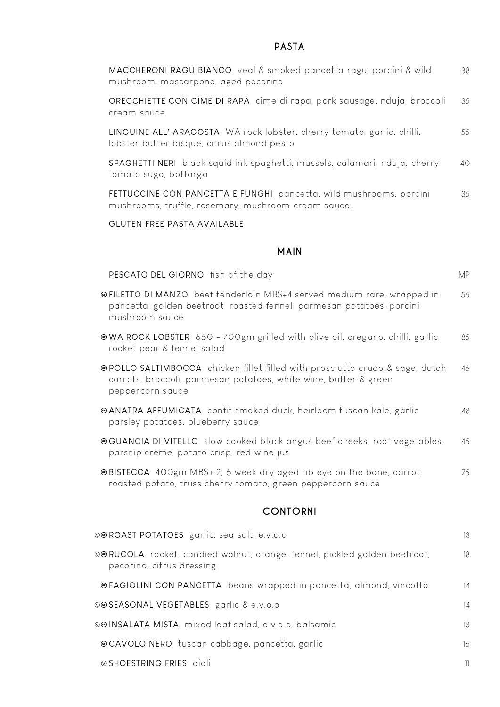### **PASTA**

| MACCHERONI RAGU BIANCO veal & smoked pancetta ragu, porcini & wild<br>mushroom, mascarpone, aged pecorino                                                                   | 38        |
|-----------------------------------------------------------------------------------------------------------------------------------------------------------------------------|-----------|
| ORECCHIETTE CON CIME DI RAPA cime di rapa, pork sausage, nduja, broccoli<br>cream sauce                                                                                     | 35        |
| LINGUINE ALL' ARAGOSTA WA rock lobster, cherry tomato, garlic, chilli,<br>lobster butter bisque, citrus almond pesto                                                        | 55        |
| SPAGHETTI NERI black squid ink spaghetti, mussels, calamari, nduja, cherry<br>tomato sugo, bottarga                                                                         | 40        |
| FETTUCCINE CON PANCETTA E FUNGHI pancetta, wild mushrooms, porcini<br>mushrooms, truffle, rosemary, mushroom cream sauce,                                                   | 35        |
| <b>GLUTEN FREE PASTA AVAILABLE</b>                                                                                                                                          |           |
| <b>MAIN</b>                                                                                                                                                                 |           |
| PESCATO DEL GIORNO fish of the day                                                                                                                                          | <b>MP</b> |
| ⊕FILETTO DI MANZO beef tenderloin MBS+4 served medium rare, wrapped in<br>pancetta, golden beetroot, roasted fennel, parmesan potatoes, porcini<br>mushroom sauce           | 55        |
| <b>© WA ROCK LOBSTER</b> 650 - 700gm grilled with olive oil, oregano, chilli, garlic,<br>rocket pear & fennel salad                                                         | 85        |
| <b>@POLLO SALTIMBOCCA</b> chicken fillet filled with prosciutto crudo & sage, dutch<br>carrots, broccoli, parmesan potatoes, white wine, butter & green<br>peppercorn sauce | 46        |
| @ ANATRA AFFUMICATA confit smoked duck, heirloom tuscan kale, garlic<br>parsley potatoes, blueberry sauce                                                                   | 48        |
| @GUANCIA DI VITELLO slow cooked black angus beef cheeks, root vegetables,<br>parsnip creme, potato crisp, red wine jus                                                      | 45        |
| @BISTECCA 400gm MBS+ 2, 6 week dry aged rib eye on the bone, carrot,<br>roasted potato, truss cherry tomato, green peppercorn sauce                                         | 75        |
| <b>CONTORNI</b>                                                                                                                                                             |           |
| ®® ROAST POTATOES garlic, sea salt, e.v.o.o                                                                                                                                 | 13        |
| ⊗⊕ RUCOLA rocket, candied walnut, orange, fennel, pickled golden beetroot,<br>pecorino, citrus dressing                                                                     | 18        |
| @FAGIOLINI CON PANCETTA beans wrapped in pancetta, almond, vincotto                                                                                                         | 14        |

ÅÔ SEASONAL VEGETABLES garlic & e.v.o.o 14

ÅÔ INSALATA MISTA mixed leaf salad, e.v.o.o, balsamic 13

Ô CAVOLO NERO tuscan cabbage, pancetta, garlic 16

Å SHOESTRING FRIES aioli 11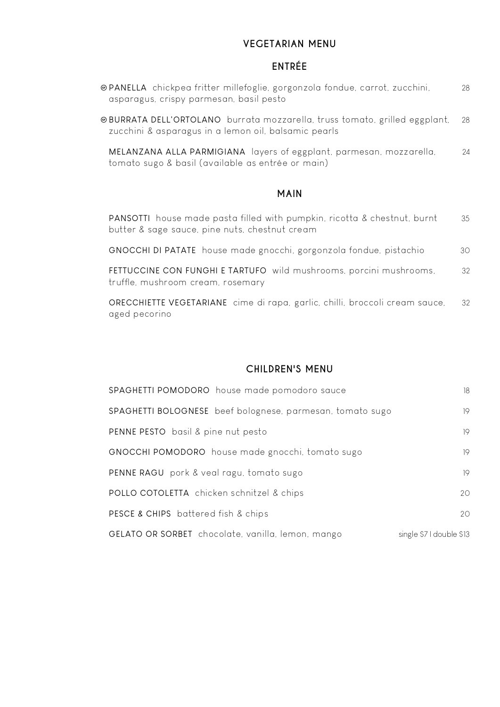#### **VEGETARIAN MENU**

# **ENTRÉE**

| ⊕PANELLA chickpea fritter millefoglie, gorgonzola fondue, carrot, zucchini,<br>asparagus, crispy parmesan, basil pesto             | 28 |
|------------------------------------------------------------------------------------------------------------------------------------|----|
| @BURRATA DELL'ORTOLANO burrata mozzarella, truss tomato, grilled eggplant,<br>zucchini & asparagus in a lemon oil, balsamic pearls | 28 |
| MELANZANA ALLA PARMIGIANA layers of eggplant, parmesan, mozzarella,<br>tomato sugo & basil (available as entrée or main)           | 24 |
| <b>MAIN</b>                                                                                                                        |    |
| <b>PANSOTTI</b> house made pasta filled with pumpkin, ricotta & chestnut, burnt<br>butter & sage sauce, pine nuts, chestnut cream  | 35 |
| GNOCCHI DI PATATE house made gnocchi, gorgonzola fondue, pistachio                                                                 | 30 |
| FETTUCCINE CON FUNGHI E TARTUFO wild mushrooms, porcini mushrooms,<br>truffle, mushroom cream, rosemary                            | 32 |
| ORECCHIETTE VEGETARIANE cime di rapa, garlic, chilli, broccoli cream sauce,<br>aged pecorino                                       | 32 |

### **CHILDREN'S MENU**

| SPAGHETTI POMODORO house made pomodoro sauce              | 18                       |
|-----------------------------------------------------------|--------------------------|
| SPAGHETTI BOLOGNESE beef bolognese, parmesan, tomato sugo | 19                       |
| PENNE PESTO basil & pine nut pesto                        | 19                       |
| GNOCCHI POMODORO house made gnocchi, tomato sugo          | 19                       |
| PENNE RAGU pork & veal ragu, tomato sugo                  | 19                       |
| POLLO COTOLETTA chicken schnitzel & chips                 | 20                       |
| PESCE & CHIPS battered fish & chips                       | 20                       |
| GELATO OR SORBET chocolate, vanilla, lemon, mango         | single \$7 I double \$13 |